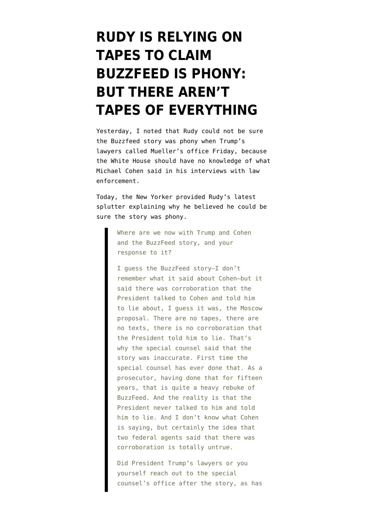## **[RUDY IS RELYING ON](https://www.emptywheel.net/2019/01/22/rudy-is-relying-on-tapes-to-claim-buzzfeed-is-phony-but-there-arent-tapes-of-everything/) [TAPES TO CLAIM](https://www.emptywheel.net/2019/01/22/rudy-is-relying-on-tapes-to-claim-buzzfeed-is-phony-but-there-arent-tapes-of-everything/) [BUZZFEED IS PHONY:](https://www.emptywheel.net/2019/01/22/rudy-is-relying-on-tapes-to-claim-buzzfeed-is-phony-but-there-arent-tapes-of-everything/) [BUT THERE AREN'T](https://www.emptywheel.net/2019/01/22/rudy-is-relying-on-tapes-to-claim-buzzfeed-is-phony-but-there-arent-tapes-of-everything/) [TAPES OF EVERYTHING](https://www.emptywheel.net/2019/01/22/rudy-is-relying-on-tapes-to-claim-buzzfeed-is-phony-but-there-arent-tapes-of-everything/)**

Yesterday, I [noted](https://www.emptywheel.net/2019/01/21/trump-raised-concerns-about-testimony-they-shouldnt-know-is-phony-or-not-with-muellers-office/) that Rudy could not be sure the [Buzzfeed story](https://www.buzzfeednews.com/article/jasonleopold/trump-russia-cohen-moscow-tower-mueller-investigation) was phony when Trump's lawyers called Mueller's office Friday, because the White House should have no knowledge of what Michael Cohen said in his interviews with law enforcement.

Today, the New Yorker [provided](https://www.newyorker.com/news/the-new-yorker-interview/even-if-he-did-do-it-it-wouldnt-be-a-crime-rudy-giuliani-donald-trump-robert-mueller-moscow-buzzfeed) Rudy's latest splutter explaining why he believed he could be sure the story was phony.

> Where are we now with Trump and Cohen and the BuzzFeed story, and your response to it?

I guess the BuzzFeed story—I don't remember what it said about Cohen—but it said there was corroboration that the President talked to Cohen and told him to lie about, I guess it was, the Moscow proposal. There are no tapes, there are no texts, there is no corroboration that the President told him to lie. That's why the special counsel said that the story was inaccurate. First time the special counsel has ever done that. As a prosecutor, having done that for fifteen years, that is quite a heavy rebuke of BuzzFeed. And the reality is that the President never talked to him and told him to lie. And I don't know what Cohen is saying, but certainly the idea that two federal agents said that there was corroboration is totally untrue.

Did President Trump's lawyers or you yourself reach out to the special counsel's office after the story, as has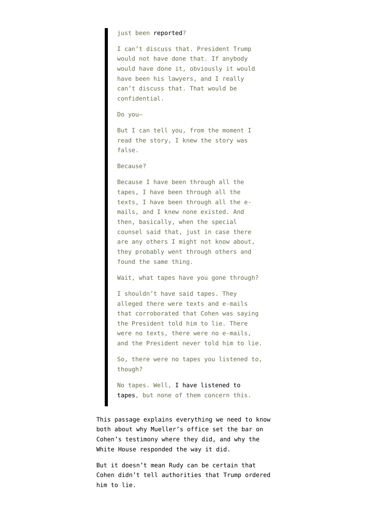## just been [reported](https://twitter.com/GeoffRBennett/status/1087456074544939008)?

I can't discuss that. President Trump would not have done that. If anybody would have done it, obviously it would have been his lawyers, and I really can't discuss that. That would be confidential.

## Do you—

But I can tell you, from the moment I read the story, I knew the story was false.

## Because?

Because I have been through all the tapes, I have been through all the texts, I have been through all the emails, and I knew none existed. And then, basically, when the special counsel said that, just in case there are any others I might not know about, they probably went through others and found the same thing.

Wait, what tapes have you gone through?

I shouldn't have said tapes. They alleged there were texts and e-mails that corroborated that Cohen was saying the President told him to lie. There were no texts, there were no e-mails, and the President never told him to lie.

So, there were no tapes you listened to, though?

No tapes. Well, [I have listened to](https://www.cnn.com/2018/07/29/politics/rudy-giuliani-michael-cohen/index.html) [tapes](https://www.cnn.com/2018/07/29/politics/rudy-giuliani-michael-cohen/index.html), but none of them concern this.

This passage explains everything we need to know both about why Mueller's office set the bar on Cohen's testimony where they did, and why the White House responded the way it did.

But it doesn't mean Rudy can be certain that Cohen didn't tell authorities that Trump ordered him to lie.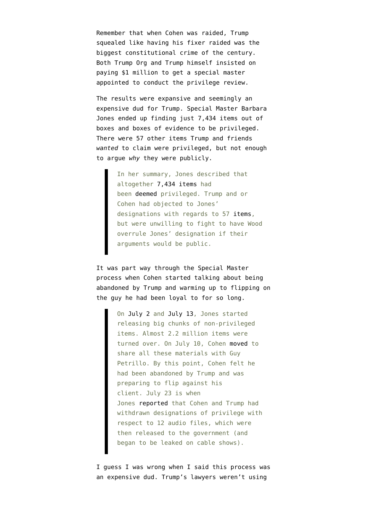Remember that when Cohen was raided, Trump squealed like having his fixer raided was the biggest constitutional crime of the century. Both Trump Org and Trump himself insisted on paying \$1 million to get a special master appointed to conduct the privilege review.

The results were expansive and seemingly an [expensive dud](https://www.emptywheel.net/2018/08/24/the-trump-teams-strategic-errors-special-master-edition/) for Trump. Special Master Barbara Jones [ended up](https://www.emptywheel.net/2018/08/24/the-trump-teams-strategic-errors-special-master-edition/) finding just 7,434 items out of boxes and boxes of evidence to be privileged. There were 57 other items Trump and friends *wanted* to claim were privileged, but not enough to argue *why* they were publicly.

> In her summary, Jones described that altogether [7,434 items](https://www.courtlistener.com/recap/gov.uscourts.nysd.491943/gov.uscourts.nysd.491943.103.1.pdf) had been [deemed](https://www.courtlistener.com/recap/gov.uscourts.nysd.491943/gov.uscourts.nysd.491943.103.1.pdf) privileged. Trump and or Cohen had objected to Jones' designations with regards to 57 [items,](https://www.courtlistener.com/recap/gov.uscourts.nysd.491943/gov.uscourts.nysd.491943.103.2.pdf) but were unwilling to fight to have Wood overrule Jones' designation if their arguments would be public.

It was part way through the Special Master process when Cohen started talking about being abandoned by Trump and warming up to flipping on the guy he had been loyal to for so long.

> On [July 2](https://www.courtlistener.com/recap/gov.uscourts.nysd.491943/gov.uscourts.nysd.491943.89.0.pdf) and [July 13,](https://www.courtlistener.com/recap/gov.uscourts.nysd.491943/gov.uscourts.nysd.491943.92.0.pdf) Jones started releasing big chunks of non-privileged items. Almost 2.2 million items were turned over. On July 10, Cohen [moved](https://www.courtlistener.com/recap/gov.uscourts.nysd.491943/gov.uscourts.nysd.491943.90.0.pdf) to share all these materials with Guy Petrillo. By this point, Cohen felt he had been abandoned by Trump and was preparing to flip against his client. July 23 is when Jones [reported](https://www.courtlistener.com/recap/gov.uscourts.nysd.491943/gov.uscourts.nysd.491943.94.0.pdf) that Cohen and Trump had withdrawn designations of privilege with respect to 12 audio files, which were then released to the government (and began to be leaked on cable shows).

I guess I was wrong when I said this process was an expensive dud. Trump's lawyers weren't using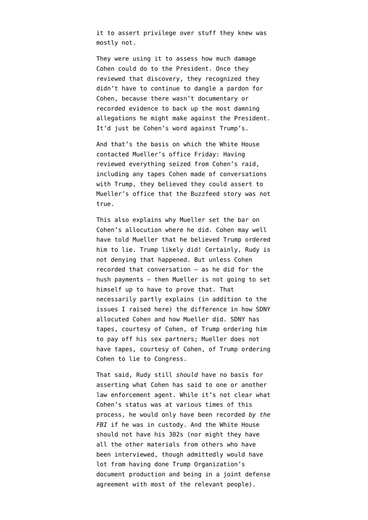it to assert privilege over stuff they knew was mostly not.

They were using it to assess how much damage Cohen could do to the President. Once they reviewed that discovery, they recognized they didn't have to continue to dangle a pardon for Cohen, because there wasn't documentary or recorded evidence to back up the most damning allegations he might make against the President. It'd just be Cohen's word against Trump's.

And that's the basis on which the White House contacted Mueller's office Friday: Having reviewed everything seized from Cohen's raid, including any tapes Cohen made of conversations with Trump, they believed they could assert to Mueller's office that the Buzzfeed story was not true.

This also explains why Mueller set the bar on [Cohen's allocution](https://www.emptywheel.net/2019/01/19/peter-carr-speaks/) where he did. Cohen may well have told Mueller that he believed Trump ordered him to lie. Trump likely did! Certainly, Rudy is not denying that happened. But unless Cohen recorded that conversation — as he did for the hush payments — then Mueller is not going to set himself up to have to prove that. That necessarily partly explains (in addition to the issues [I raised here](https://www.emptywheel.net/2019/01/19/peter-carr-speaks/)) the difference in how SDNY allocuted Cohen and how Mueller did. SDNY has tapes, courtesy of Cohen, of Trump ordering him to pay off his sex partners; Mueller does not have tapes, courtesy of Cohen, of Trump ordering Cohen to lie to Congress.

That said, Rudy still *should* have no basis for asserting what Cohen has said to one or another law enforcement agent. While it's not clear what Cohen's status was at various times of this process, he would only have been recorded *by the FBI* if he was in custody. And the White House should not have his 302s (nor might they have all the other materials from others who have been interviewed, though admittedly would have lot from having done Trump Organization's document production and being in a joint defense agreement with most of the relevant people).